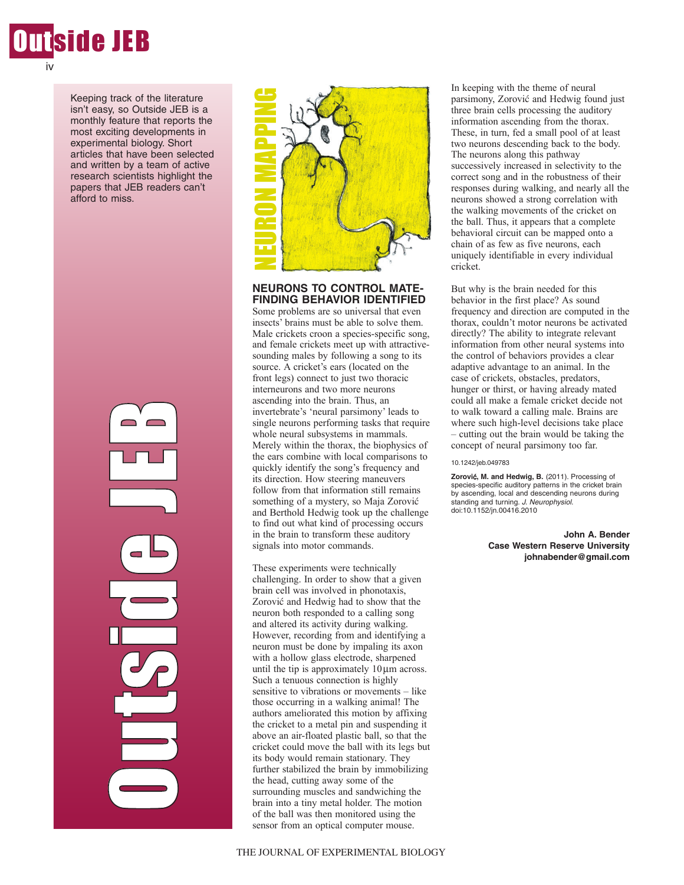

Keeping track of the literature isn't easy, so Outside JEB is a monthly feature that reports the most exciting developments in experimental biology. Short articles that have been selected and written by a team of active research scientists highlight the papers that JEB readers can't afford to miss.





## **NEURONS TO CONTROL MATE-FINDING BEHAVIOR IDENTIFIED**

Some problems are so universal that even insects' brains must be able to solve them. Male crickets croon a species-specific song, and female crickets meet up with attractivesounding males by following a song to its source. A cricket's ears (located on the front legs) connect to just two thoracic interneurons and two more neurons ascending into the brain. Thus, an invertebrate's 'neural parsimony' leads to single neurons performing tasks that require whole neural subsystems in mammals. Merely within the thorax, the biophysics of the ears combine with local comparisons to quickly identify the song's frequency and its direction. How steering maneuvers follow from that information still remains something of a mystery, so Maja Zorovic and Berthold Hedwig took up the challenge to find out what kind of processing occurs in the brain to transform these auditory signals into motor commands.

These experiments were technically challenging. In order to show that a given brain cell was involved in phonotaxis, Zorovic and Hedwig had to show that the neuron both responded to a calling song and altered its activity during walking. However, recording from and identifying a neuron must be done by impaling its axon with a hollow glass electrode, sharpened until the tip is approximately  $10 \mu m$  across. Such a tenuous connection is highly sensitive to vibrations or movements – like those occurring in a walking animal! The authors ameliorated this motion by affixing the cricket to a metal pin and suspending it above an air-floated plastic ball, so that the cricket could move the ball with its legs but its body would remain stationary. They further stabilized the brain by immobilizing the head, cutting away some of the surrounding muscles and sandwiching the brain into a tiny metal holder. The motion of the ball was then monitored using the **EXERCT AN ONE CONSULT AN ONE CONSULTER SERVER (NOTE REFERENCING BEHAVIOR IDENTIFIES SOME PROPORT SHOW THE SINCT SINCT SINCT SINCT SINCT SINCT SINCT SINCT SINCT SINCT SINCT SINCT SINCT SINCT AND THE SINCT SINCT CONSULT (FO** 

In keeping with the theme of neural parsimony, Zorovic and Hedwig found just three brain cells processing the auditory information ascending from the thorax. These, in turn, fed a small pool of at least two neurons descending back to the body. The neurons along this pathway successively increased in selectivity to the correct song and in the robustness of their responses during walking, and nearly all the neurons showed a strong correlation with the walking movements of the cricket on the ball. Thus, it appears that a complete behavioral circuit can be mapped onto a chain of as few as five neurons, each uniquely identifiable in every individual cricket.

But why is the brain needed for this behavior in the first place? As sound frequency and direction are computed in the thorax, couldn't motor neurons be activated directly? The ability to integrate relevant information from other neural systems into the control of behaviors provides a clear adaptive advantage to an animal. In the case of crickets, obstacles, predators, hunger or thirst, or having already mated could all make a female cricket decide not to walk toward a calling male. Brains are where such high-level decisions take place – cutting out the brain would be taking the concept of neural parsimony too far.

#### 10.1242/jeb.049783

**Zorovi**c**, M. and Hedwig, B.** (2011). Processing of species-specific auditory patterns in the cricket brain by ascending, local and descending neurons during standing and turning. J. Neurophysiol. doi:10.1152/jn.00416.2010

> **John A. Bender Case Western Reserve University johnabender@gmail.com**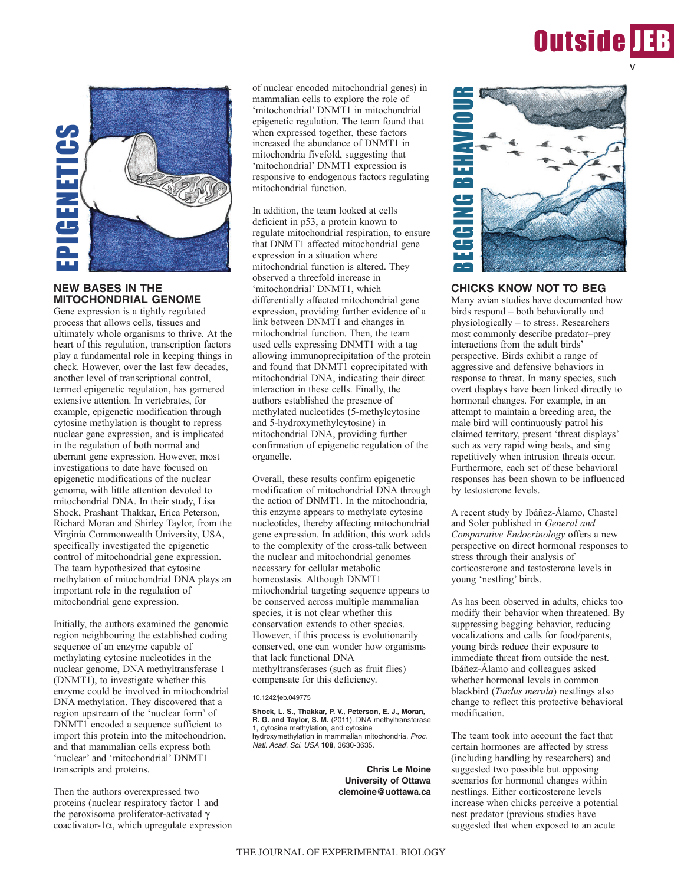



# **NEW BASES IN THE MITOCHONDRIAL GENOME**

Gene expression is a tightly regulated process that allows cells, tissues and ultimately whole organisms to thrive. At the heart of this regulation, transcription factors play a fundamental role in keeping things in check. However, over the last few decades, another level of transcriptional control, termed epigenetic regulation, has garnered extensive attention. In vertebrates, for example, epigenetic modification through cytosine methylation is thought to repress nuclear gene expression, and is implicated in the regulation of both normal and aberrant gene expression. However, most investigations to date have focused on epigenetic modifications of the nuclear genome, with little attention devoted to mitochondrial DNA. In their study, Lisa Shock, Prashant Thakkar, Erica Peterson, Richard Moran and Shirley Taylor, from the Virginia Commonwealth University, USA, specifically investigated the epigenetic control of mitochondrial gene expression. The team hypothesized that cytosine methylation of mitochondrial DNA plays an important role in the regulation of mitochondrial gene expression.

Initially, the authors examined the genomic region neighbouring the established coding sequence of an enzyme capable of methylating cytosine nucleotides in the nuclear genome, DNA methyltransferase 1 (DNMT1), to investigate whether this enzyme could be involved in mitochondrial DNA methylation. They discovered that a region upstream of the 'nuclear form' of DNMT1 encoded a sequence sufficient to import this protein into the mitochondrion, and that mammalian cells express both 'nuclear' and 'mitochondrial' DNMT1 transcripts and proteins.

Then the authors overexpressed two proteins (nuclear respiratory factor 1 and the peroxisome proliferator-activated  $\gamma$ coactivator-1 $\alpha$ , which upregulate expression of nuclear encoded mitochondrial genes) in mammalian cells to explore the role of 'mitochondrial' DNMT1 in mitochondrial epigenetic regulation. The team found that when expressed together, these factors increased the abundance of DNMT1 in mitochondria fivefold, suggesting that 'mitochondrial' DNMT1 expression is responsive to endogenous factors regulating mitochondrial function.

In addition, the team looked at cells deficient in p53, a protein known to regulate mitochondrial respiration, to ensure that DNMT1 affected mitochondrial gene expression in a situation where mitochondrial function is altered. They observed a threefold increase in 'mitochondrial' DNMT1, which differentially affected mitochondrial gene expression, providing further evidence of a link between DNMT1 and changes in mitochondrial function. Then, the team used cells expressing DNMT1 with a tag allowing immunoprecipitation of the protein and found that DNMT1 coprecipitated with mitochondrial DNA, indicating their direct interaction in these cells. Finally, the authors established the presence of methylated nucleotides (5-methylcytosine and 5-hydroxymethylcytosine) in mitochondrial DNA, providing further confirmation of epigenetic regulation of the organelle.

Overall, these results confirm epigenetic modification of mitochondrial DNA through the action of DNMT1. In the mitochondria, this enzyme appears to methylate cytosine nucleotides, thereby affecting mitochondrial gene expression. In addition, this work adds to the complexity of the cross-talk between the nuclear and mitochondrial genomes necessary for cellular metabolic homeostasis. Although DNMT1 mitochondrial targeting sequence appears to be conserved across multiple mammalian species, it is not clear whether this conservation extends to other species. However, if this process is evolutionarily conserved, one can wonder how organisms that lack functional DNA methyltransferases (such as fruit flies) compensate for this deficiency.

### 10.1242/jeb.049775

**Shock, L. S., Thakkar, P. V., Peterson, E. J., Moran, R. G. and Taylor, S. M.** (2011). DNA methyltransferase 1, cytosine methylation, and cytosine hydroxymethylation in mammalian mitochondria. Proc. Natl. Acad. Sci. USA **108**, 3630-3635.

> **Chris Le Moine University of Ottawa clemoine@uottawa.ca**



## **CHICKS KNOW NOT TO BEG**

Many avian studies have documented how birds respond – both behaviorally and physiologically – to stress. Researchers most commonly describe predator–prey interactions from the adult birds' perspective. Birds exhibit a range of aggressive and defensive behaviors in response to threat. In many species, such overt displays have been linked directly to hormonal changes. For example, in an attempt to maintain a breeding area, the male bird will continuously patrol his claimed territory, present 'threat displays' such as very rapid wing beats, and sing repetitively when intrusion threats occur. Furthermore, each set of these behavioral responses has been shown to be influenced by testosterone levels.

A recent study by Ibáñez-Álamo, Chastel and Soler published in *General and Comparative Endocrinology* offers a new perspective on direct hormonal responses to stress through their analysis of corticosterone and testosterone levels in young 'nestling' birds.

As has been observed in adults, chicks too modify their behavior when threatened. By suppressing begging behavior, reducing vocalizations and calls for food/parents, young birds reduce their exposure to immediate threat from outside the nest. Ibáñez-Álamo and colleagues asked whether hormonal levels in common blackbird (*Turdus merula*) nestlings also change to reflect this protective behavioral modification.

The team took into account the fact that certain hormones are affected by stress (including handling by researchers) and suggested two possible but opposing scenarios for hormonal changes within nestlings. Either corticosterone levels increase when chicks perceive a potential nest predator (previous studies have suggested that when exposed to an acute